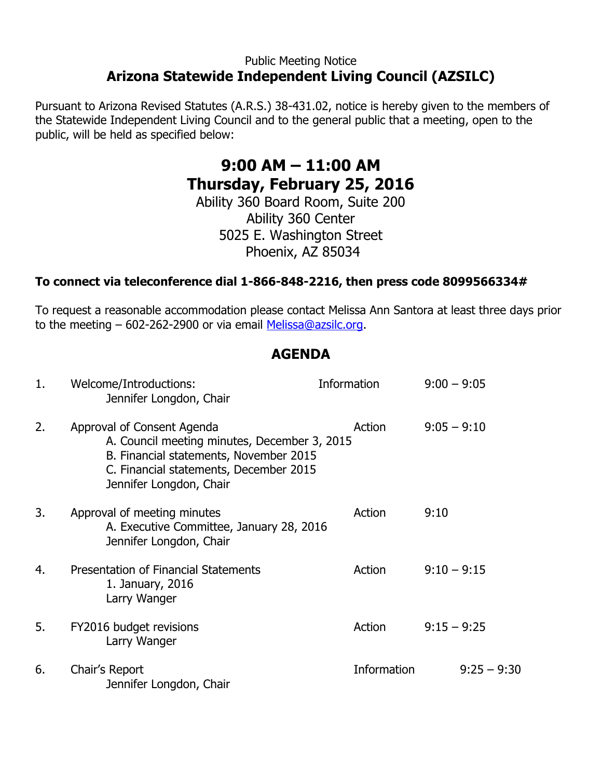### Public Meeting Notice **Arizona Statewide Independent Living Council (AZSILC)**

Pursuant to Arizona Revised Statutes (A.R.S.) 38-431.02, notice is hereby given to the members of the Statewide Independent Living Council and to the general public that a meeting, open to the public, will be held as specified below:

# **9:00 AM – 11:00 AM Thursday, February 25, 2016**

Ability 360 Board Room, Suite 200 Ability 360 Center 5025 E. Washington Street Phoenix, AZ 85034

#### **To connect via teleconference dial 1-866-848-2216, then press code 8099566334#**

To request a reasonable accommodation please contact Melissa Ann Santora at least three days prior to the meeting – 602-262-2900 or via email [Melissa@azsilc.org.](mailto:Melissa@azsilc.org)

## **AGENDA**

| 1. | Welcome/Introductions:<br>Jennifer Longdon, Chair                                                                                                                                         | <b>Information</b> | $9:00 - 9:05$ |
|----|-------------------------------------------------------------------------------------------------------------------------------------------------------------------------------------------|--------------------|---------------|
| 2. | Approval of Consent Agenda<br>A. Council meeting minutes, December 3, 2015<br>B. Financial statements, November 2015<br>C. Financial statements, December 2015<br>Jennifer Longdon, Chair | Action             | $9:05 - 9:10$ |
| 3. | Approval of meeting minutes<br>A. Executive Committee, January 28, 2016<br>Jennifer Longdon, Chair                                                                                        | Action             | 9:10          |
| 4. | Presentation of Financial Statements<br>1. January, 2016<br>Larry Wanger                                                                                                                  | Action             | $9:10 - 9:15$ |
| 5. | FY2016 budget revisions<br>Larry Wanger                                                                                                                                                   | Action             | $9:15 - 9:25$ |
| 6. | Chair's Report<br>Jennifer Longdon, Chair                                                                                                                                                 | Information        | $9:25 - 9:30$ |